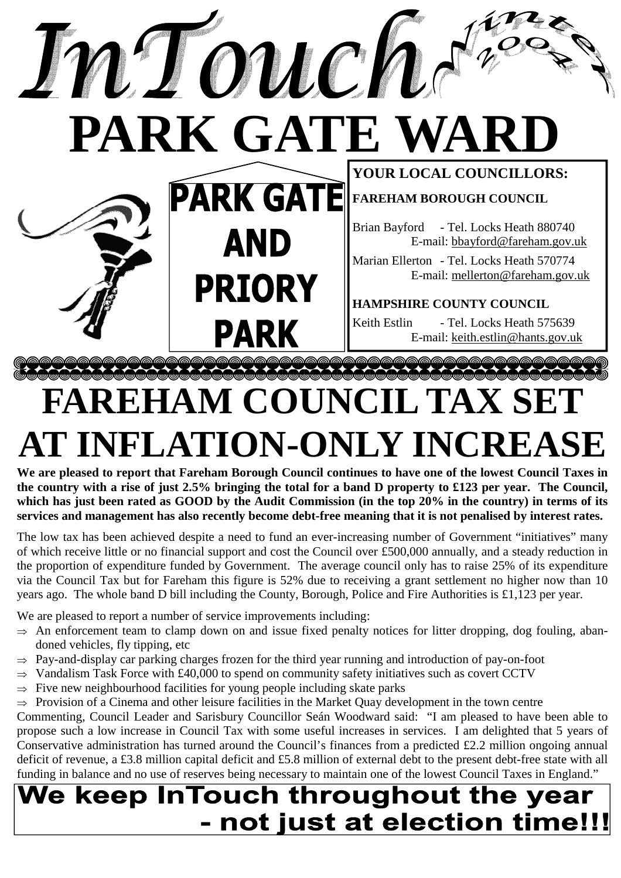

## **FAREHAM COUNCIL TAX SET AT INFLATION-ONLY INCREASE**

**We are pleased to report that Fareham Borough Council continues to have one of the lowest Council Taxes in the country with a rise of just 2.5% bringing the total for a band D property to £123 per year. The Council, which has just been rated as GOOD by the Audit Commission (in the top 20% in the country) in terms of its services and management has also recently become debt-free meaning that it is not penalised by interest rates.** 

The low tax has been achieved despite a need to fund an ever-increasing number of Government "initiatives" many of which receive little or no financial support and cost the Council over £500,000 annually, and a steady reduction in the proportion of expenditure funded by Government. The average council only has to raise 25% of its expenditure via the Council Tax but for Fareham this figure is 52% due to receiving a grant settlement no higher now than 10 years ago. The whole band D bill including the County, Borough, Police and Fire Authorities is £1,123 per year.

We are pleased to report a number of service improvements including:

- $\Rightarrow$  An enforcement team to clamp down on and issue fixed penalty notices for litter dropping, dog fouling, abandoned vehicles, fly tipping, etc
- $\Rightarrow$  Pay-and-display car parking charges frozen for the third year running and introduction of pay-on-foot
- $\Rightarrow$  Vandalism Task Force with £40,000 to spend on community safety initiatives such as covert CCTV
- ⇒ Five new neighbourhood facilities for young people including skate parks
- $\Rightarrow$  Provision of a Cinema and other leisure facilities in the Market Quay development in the town centre

Commenting, Council Leader and Sarisbury Councillor Seán Woodward said: "I am pleased to have been able to propose such a low increase in Council Tax with some useful increases in services. I am delighted that 5 years of Conservative administration has turned around the Council's finances from a predicted £2.2 million ongoing annual deficit of revenue, a £3.8 million capital deficit and £5.8 million of external debt to the present debt-free state with all funding in balance and no use of reserves being necessary to maintain one of the lowest Council Taxes in England."

### We keep InTouch throughout the year - not just at election time!!!